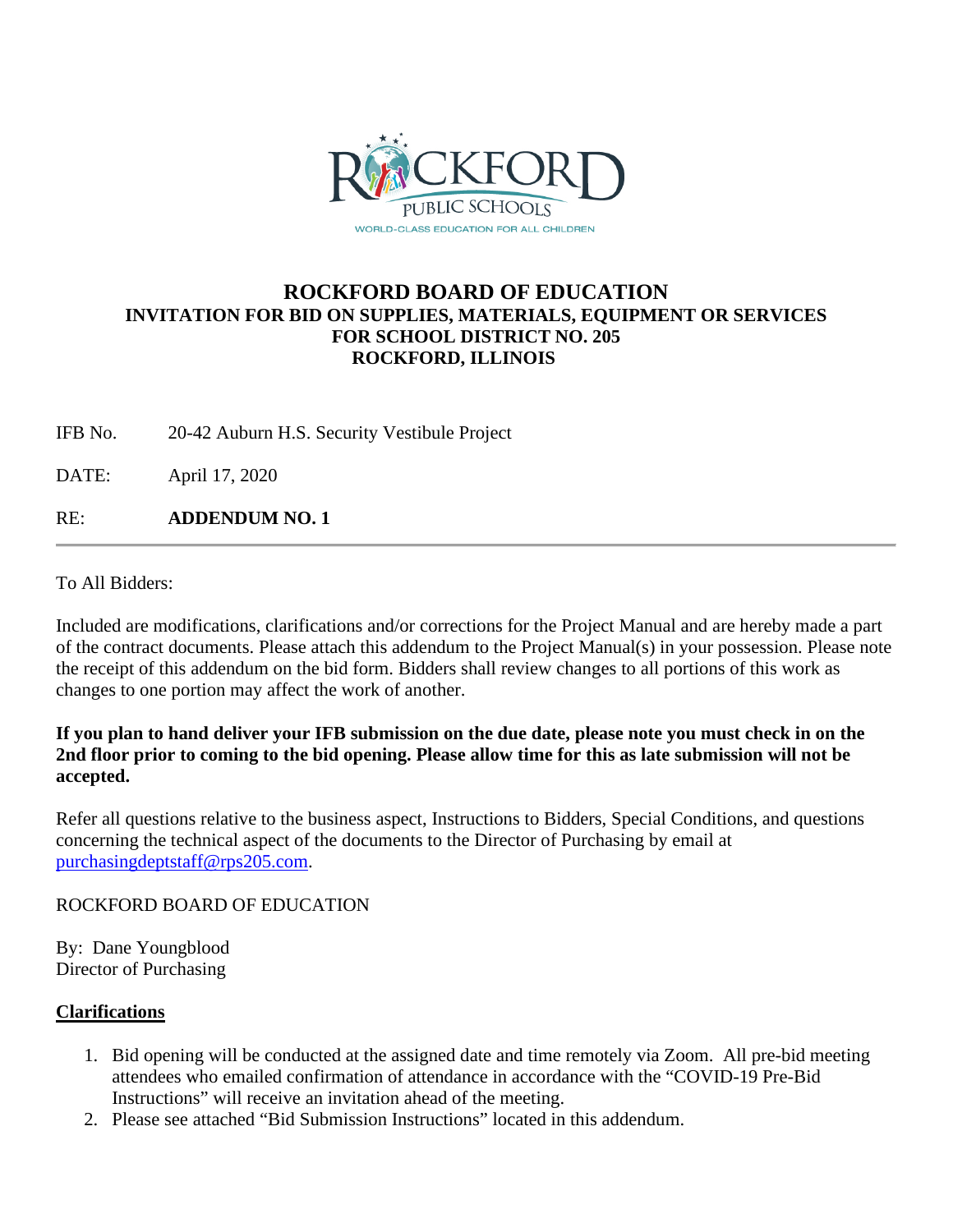

#### **ROCKFORD BOARD OF EDUCATION INVITATION FOR BID ON SUPPLIES, MATERIALS, EQUIPMENT OR SERVICES FOR SCHOOL DISTRICT NO. 205 ROCKFORD, ILLINOIS**

IFB No. 20-42 Auburn H.S. Security Vestibule Project

DATE: April 17, 2020

RE: **ADDENDUM NO. 1**

To All Bidders:

Included are modifications, clarifications and/or corrections for the Project Manual and are hereby made a part of the contract documents. Please attach this addendum to the Project Manual(s) in your possession. Please note the receipt of this addendum on the bid form. Bidders shall review changes to all portions of this work as changes to one portion may affect the work of another.

#### **If you plan to hand deliver your IFB submission on the due date, please note you must check in on the 2nd floor prior to coming to the bid opening. Please allow time for this as late submission will not be accepted.**

Refer all questions relative to the business aspect, Instructions to Bidders, Special Conditions, and questions concerning the technical aspect of the documents to the Director of Purchasing by email at [purchasingdeptstaff@rps205.com.](mailto:purchasingdeptstaff@rps205.com)

ROCKFORD BOARD OF EDUCATION

By: Dane Youngblood Director of Purchasing

#### **Clarifications**

- 1. Bid opening will be conducted at the assigned date and time remotely via Zoom. All pre-bid meeting attendees who emailed confirmation of attendance in accordance with the "COVID-19 Pre-Bid Instructions" will receive an invitation ahead of the meeting.
- 2. Please see attached "Bid Submission Instructions" located in this addendum.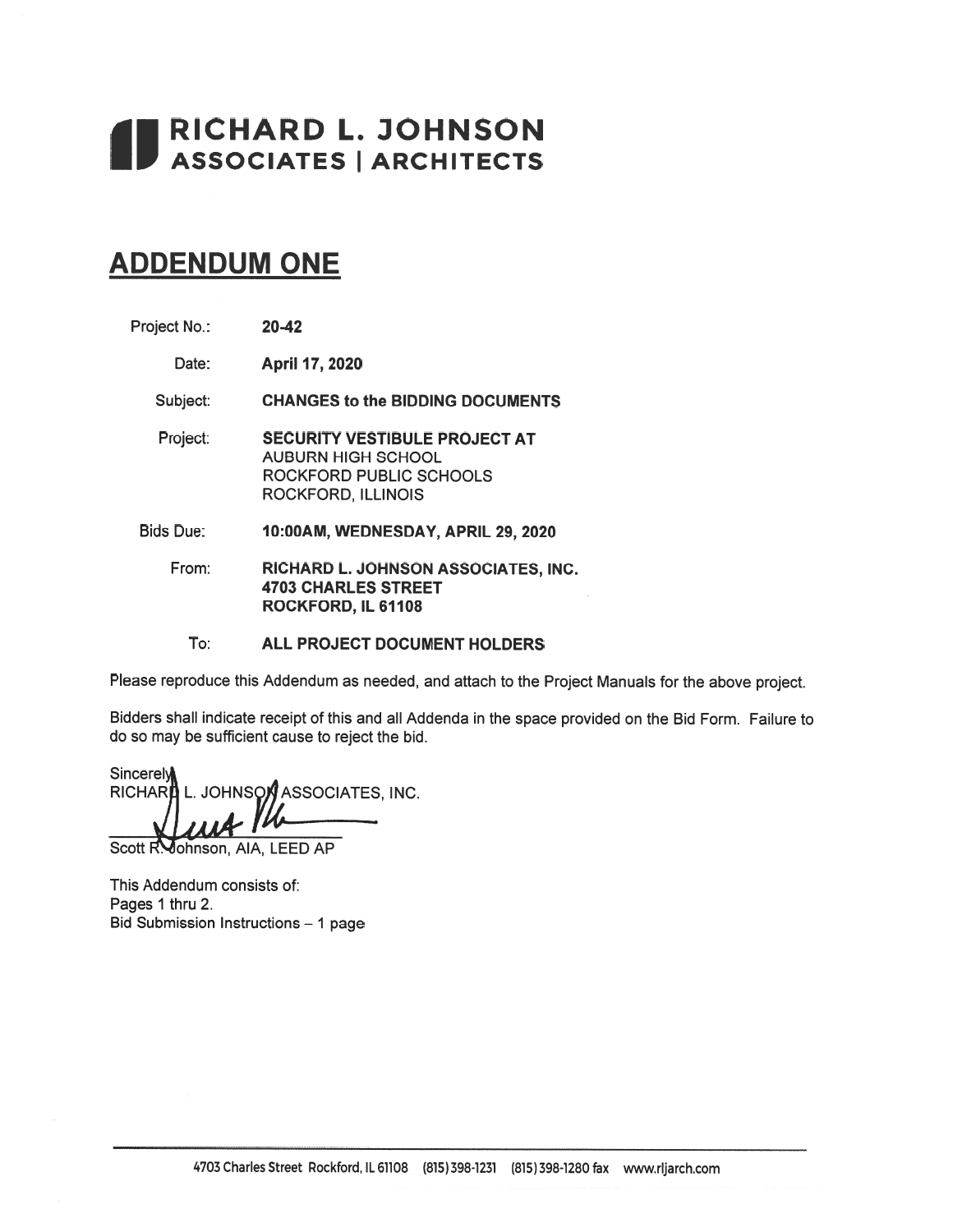# RICHARD L. JOHNSON ASSOCIATES | ARCHITECTS

# **ADDENDUM ONE**

| Project No.: | $20-42$ |
|--------------|---------|
|--------------|---------|

April 17, 2020 Date:

**CHANGES to the BIDDING DOCUMENTS** Subject:

- Project: **SECURITY VESTIBULE PROJECT AT AUBURN HIGH SCHOOL** ROCKFORD PUBLIC SCHOOLS ROCKFORD, ILLINOIS
- **Bids Due:** 10:00AM, WEDNESDAY, APRIL 29, 2020
	- From: RICHARD L. JOHNSON ASSOCIATES, INC. **4703 CHARLES STREET** ROCKFORD, IL 61108

To: ALL PROJECT DOCUMENT HOLDERS

Please reproduce this Addendum as needed, and attach to the Project Manuals for the above project.

Bidders shall indicate receipt of this and all Addenda in the space provided on the Bid Form. Failure to do so may be sufficient cause to reject the bid.

Sincerely RICHAR ASSOCIATES, INC. L. JOHNSON

Scott R. Johnson, AIA, LEED AP

This Addendum consists of: Pages 1 thru 2. Bid Submission Instructions - 1 page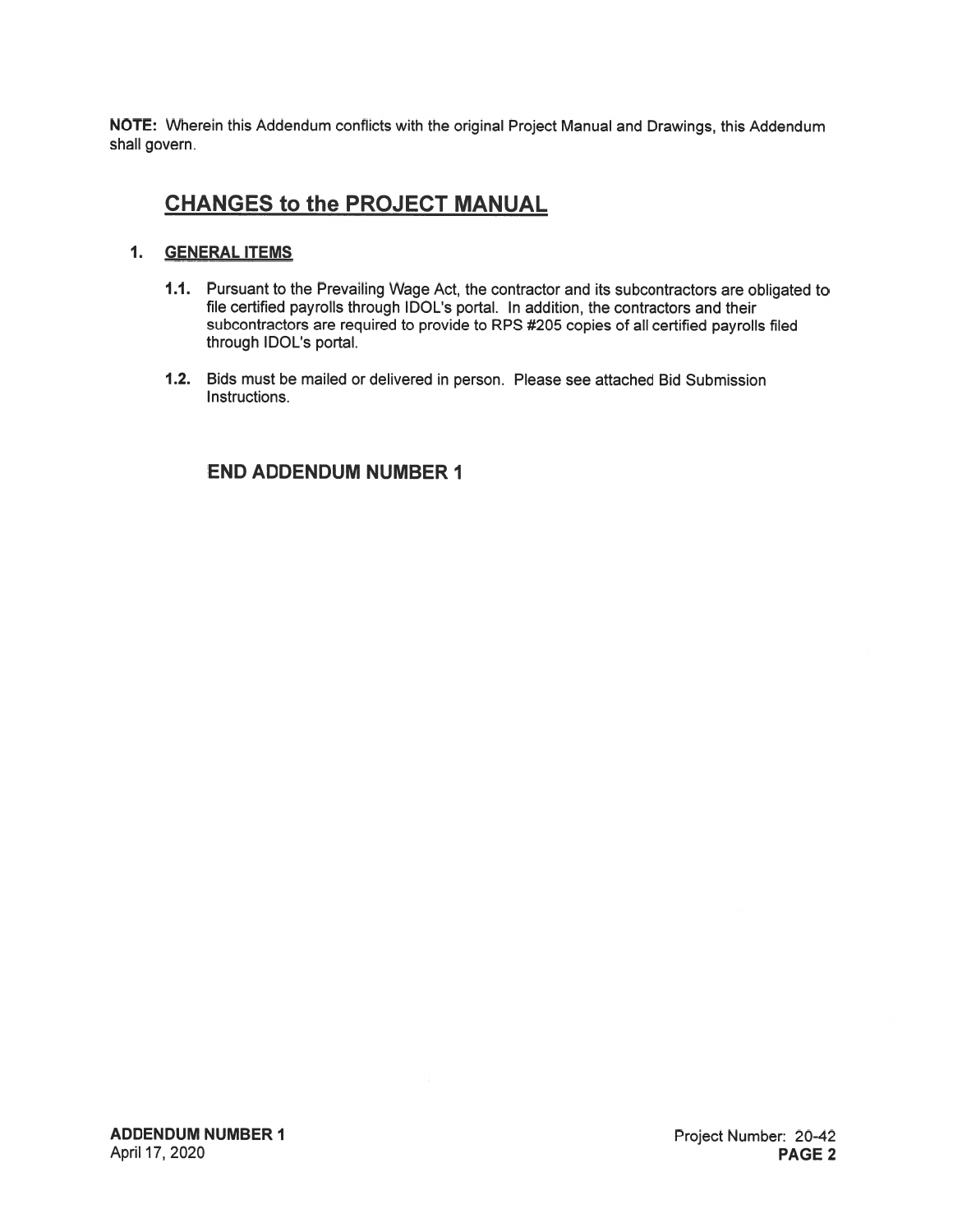NOTE: Wherein this Addendum conflicts with the original Project Manual and Drawings, this Addendum shall govern.

### **CHANGES to the PROJECT MANUAL**

#### 1. GENERAL ITEMS

- 1.1. Pursuant to the Prevailing Wage Act, the contractor and its subcontractors are obligated to file certified payrolls through IDOL's portal. In addition, the contractors and their subcontractors are required to provide to RPS #205 copies of all certified payrolls filed through IDOL's portal.
- 1.2. Bids must be mailed or delivered in person. Please see attached Bid Submission Instructions.

#### **END ADDENDUM NUMBER 1**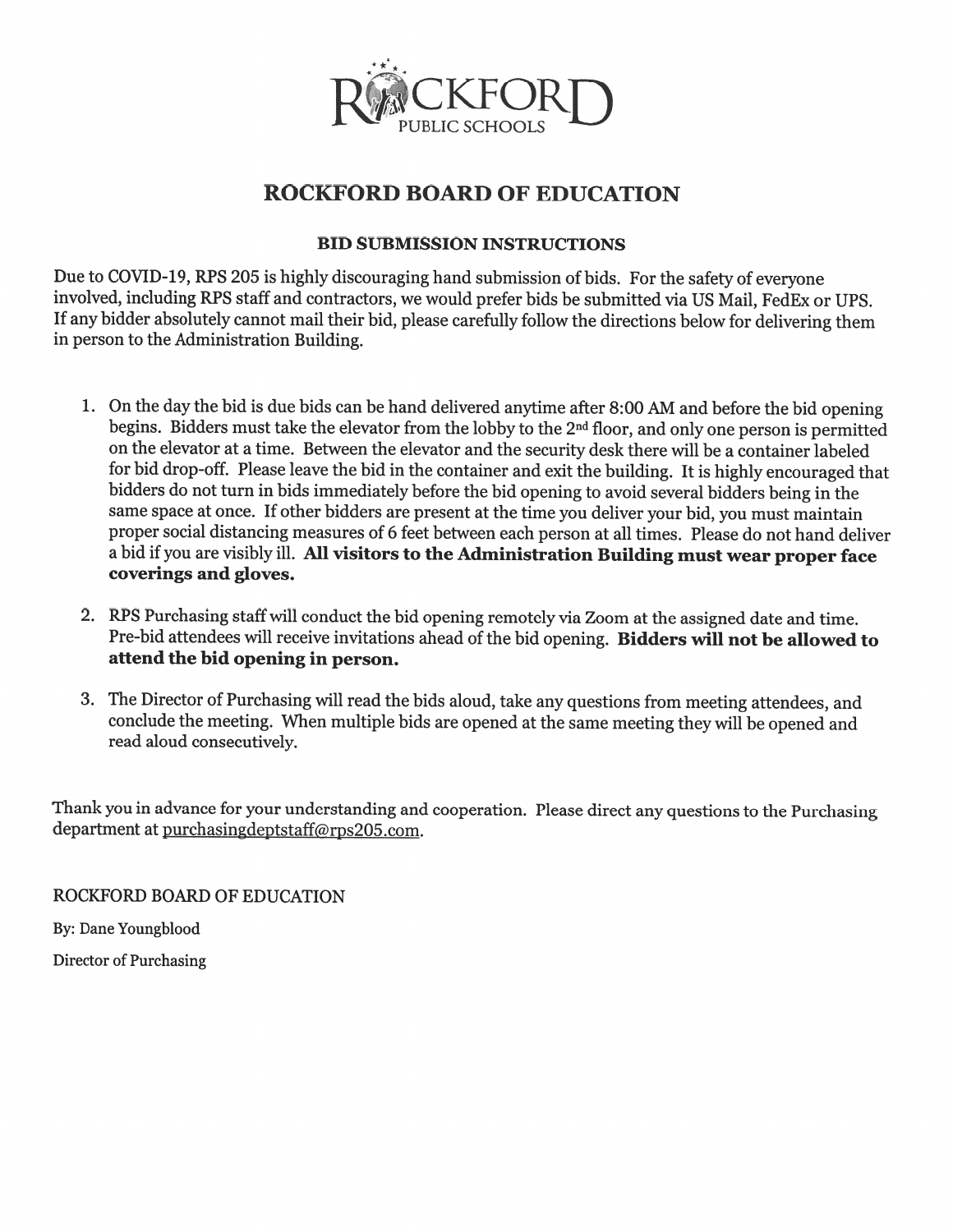

# **ROCKFORD BOARD OF EDUCATION**

#### **BID SUBMISSION INSTRUCTIONS**

Due to COVID-19, RPS 205 is highly discouraging hand submission of bids. For the safety of everyone involved, including RPS staff and contractors, we would prefer bids be submitted via US Mail, FedEx or UPS. If any bidder absolutely cannot mail their bid, please carefully follow the directions below for delivering them in person to the Administration Building.

- 1. On the day the bid is due bids can be hand delivered anytime after 8:00 AM and before the bid opening begins. Bidders must take the elevator from the lobby to the 2<sup>nd</sup> floor, and only one person is permitted on the elevator at a time. Between the elevator and the security desk there will be a container labeled for bid drop-off. Please leave the bid in the container and exit the building. It is highly encouraged that bidders do not turn in bids immediately before the bid opening to avoid several bidders being in the same space at once. If other bidders are present at the time you deliver your bid, you must maintain proper social distancing measures of 6 feet between each person at all times. Please do not hand deliver a bid if you are visibly ill. All visitors to the Administration Building must wear proper face coverings and gloves.
- 2. RPS Purchasing staff will conduct the bid opening remotely via Zoom at the assigned date and time. Pre-bid attendees will receive invitations ahead of the bid opening. Bidders will not be allowed to attend the bid opening in person.
- 3. The Director of Purchasing will read the bids aloud, take any questions from meeting attendees, and conclude the meeting. When multiple bids are opened at the same meeting they will be opened and read aloud consecutively.

Thank you in advance for your understanding and cooperation. Please direct any questions to the Purchasing department at purchasingdeptstaff@rps205.com.

ROCKFORD BOARD OF EDUCATION

By: Dane Youngblood

Director of Purchasing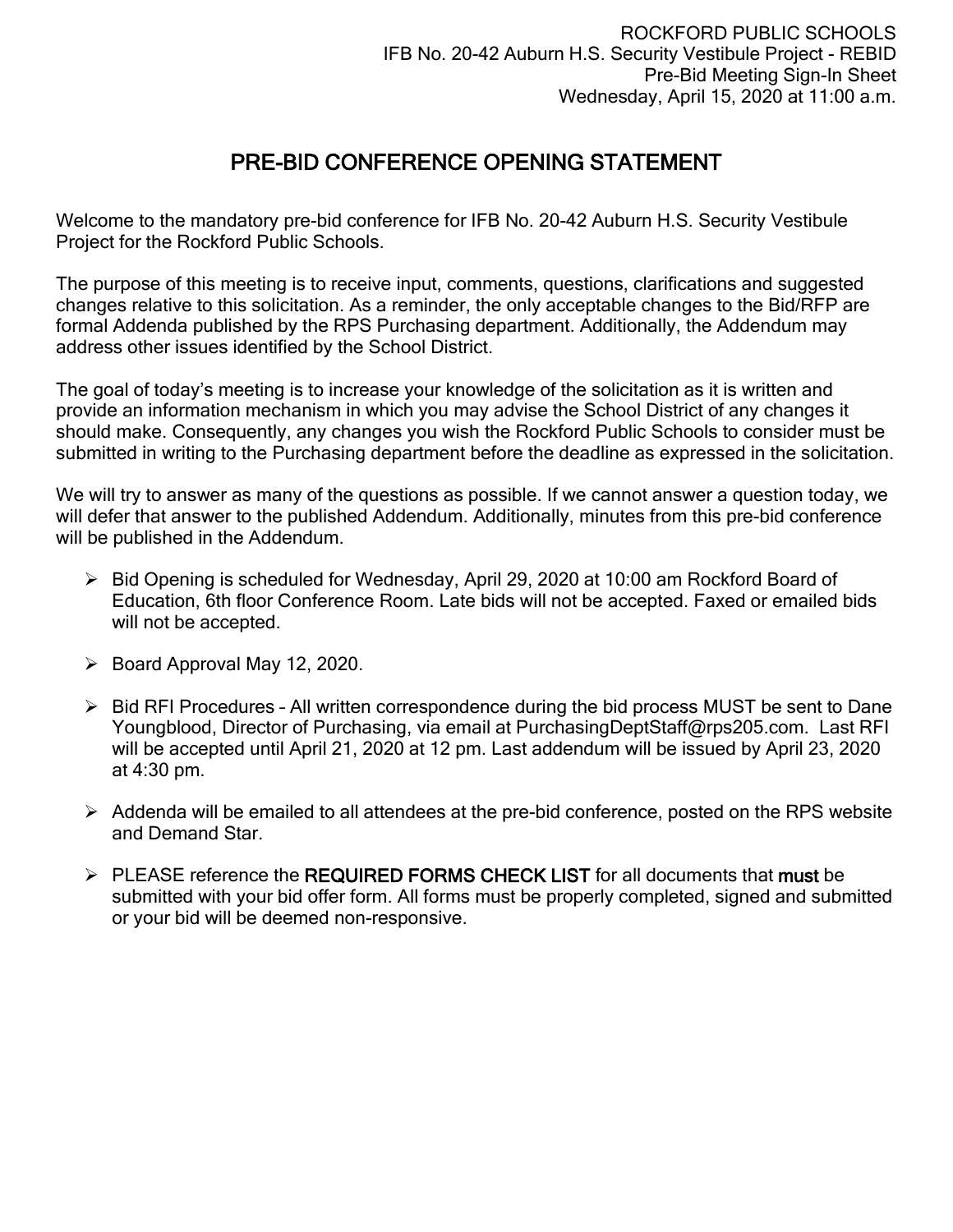## PRE-BID CONFERENCE OPENING STATEMENT

Welcome to the mandatory pre-bid conference for IFB No. 20-42 Auburn H.S. Security Vestibule Project for the Rockford Public Schools.

The purpose of this meeting is to receive input, comments, questions, clarifications and suggested changes relative to this solicitation. As a reminder, the only acceptable changes to the Bid/RFP are formal Addenda published by the RPS Purchasing department. Additionally, the Addendum may address other issues identified by the School District.

The goal of today's meeting is to increase your knowledge of the solicitation as it is written and provide an information mechanism in which you may advise the School District of any changes it should make. Consequently, any changes you wish the Rockford Public Schools to consider must be submitted in writing to the Purchasing department before the deadline as expressed in the solicitation.

We will try to answer as many of the questions as possible. If we cannot answer a question today, we will defer that answer to the published Addendum. Additionally, minutes from this pre-bid conference will be published in the Addendum.

- Bid Opening is scheduled for Wednesday, April 29, 2020 at 10:00 am Rockford Board of Education, 6th floor Conference Room. Late bids will not be accepted. Faxed or emailed bids will not be accepted.
- $\triangleright$  Board Approval May 12, 2020.
- $\triangleright$  Bid RFI Procedures All written correspondence during the bid process MUST be sent to Dane Youngblood, Director of Purchasing, via email at PurchasingDeptStaff@rps205.com. Last RFI will be accepted until April 21, 2020 at 12 pm. Last addendum will be issued by April 23, 2020 at 4:30 pm.
- $\triangleright$  Addenda will be emailed to all attendees at the pre-bid conference, posted on the RPS website and Demand Star.
- $\triangleright$  PLEASE reference the REQUIRED FORMS CHECK LIST for all documents that must be submitted with your bid offer form. All forms must be properly completed, signed and submitted or your bid will be deemed non-responsive.